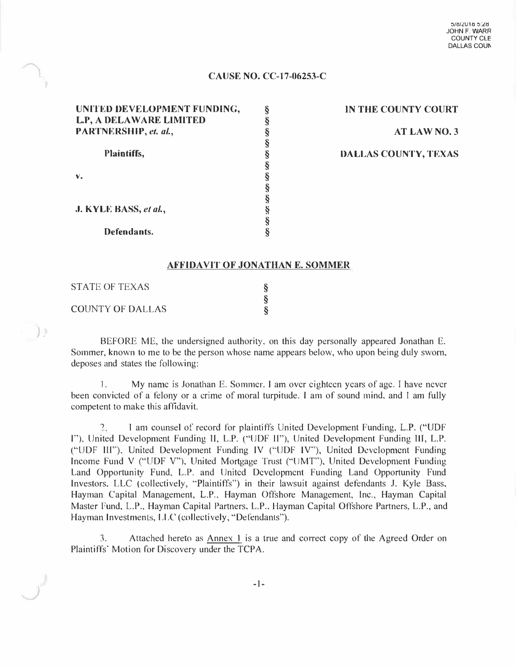#### **CAUSE NO. CC-17-06253-C**

| UNITED DEVELOPMENT FUNDING, |  |
|-----------------------------|--|
| L.P, A DELAWARE LIMITED     |  |
| PARTNERSHIP, et. al.,       |  |
|                             |  |
| Plaintiffs,                 |  |
|                             |  |
|                             |  |
|                             |  |
|                             |  |
| J. KYLE BASS, et al.,       |  |
|                             |  |
| Defendants.                 |  |

**IN THE COUNTY COURT AT LAW NO.3 DALLAS COUNTY, TEXAS** 

#### **AFFIDAVIT OF JONATHAN E. SOMMER**

| <b>STATE OF TEXAS</b>   |  |
|-------------------------|--|
|                         |  |
| <b>COUNTY OF DALLAS</b> |  |

) ji

BEFORE ME, the undersigned authority. on this day personally appeared Jonathan E. Sommer, known to me to be the person whose name appears below, who upon being duly sworn, deposes and states the following:

I. My name is Jonathan E. Sommer. I am over eighteen years of age. I have never been convicted of a felony or a crime of moral turpitude. I am of sound mind, and I am fully competent to make this affidavit.

' I am counsel of record for plaintiffs United Development Funding, L.P. ("UDF I"), United Development Funding II, L.P. ("UDF II"), United Development Funding III, L.P. ("UDF lll'"), United Development Funding IV (''UDF IV''), United Development Funding Income Fund V ("UDF V"), United Mortgage Trust ("lJMT"), United Development Funding Land Opportunity Fund, L.P. and United Development Funding Land Opportunity Fund Investors. LLC (collectively, '"Plaintiffs") in their lawsuit against defendants J. Kyle Bass, Hayman Capital Management, L.P., Hayman Offshore Management, Inc., Hayman Capital Master Fund, L.P., Hayman Capital Partners, L.P., Hayman Capital Offshore Partners, L.P., and Hayman Investments, LLC (collectively, "Defendants").

3. Attached hereto as Annex 1 is a true and correct copy of the Agreed Order on Plaintiffs' Motion for Discovery under the TCPA.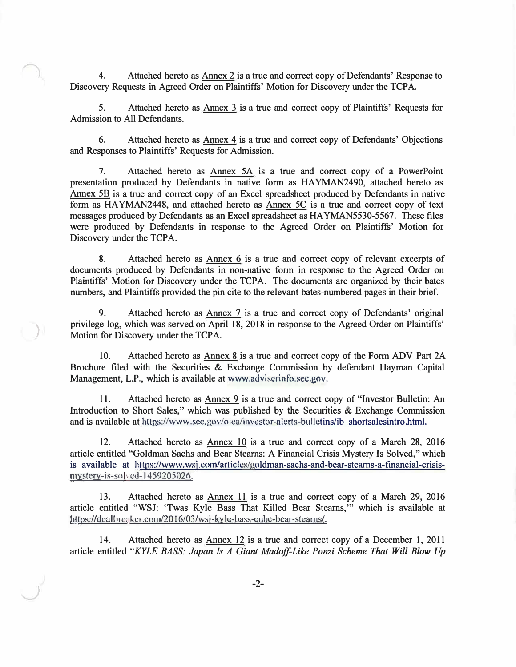4. Attached hereto as Annex 2 is a true and correct copy of Defendants' Response to Discovery Requests in Agreed Order on Plaintiffs' Motion for Discovery under the TCPA.

5. Attached hereto as Annex 3 is a true and correct copy of Plaintiffs' Requests for Admission to All Defendants.

6. Attached hereto as Annex 4 is a true and correct copy of Defendants' Objections and Responses to Plaintiffs' Requests for Admission.

7. Attached hereto as Annex SA is a true and correct copy of a PowerPoint presentation produced by Defendants in native form as HAYMAN2490, attached hereto as Annex SB is a true and correct copy of an Excel spreadsheet produced by Defendants in native form as HAYMAN2448, and attached hereto as Annex SC is a true and correct copy of text messages produced by Defendants as an Excel spreadsheet as HAYMAN5530-5567. These files were produced by Defendants in response to the Agreed Order on Plaintiffs' Motion for Discovery under the TCPA.

8. Attached hereto as Annex 6 is a true and correct copy of relevant excerpts of documents produced by Defendants in non-native form in response to the Agreed Order on Plaintiffs' Motion for Discovery under the TCPA. The documents are organized by their bates numbers, and Plaintiffs provided the pin cite to the relevant bates-numbered pages in their brief.

9. Attached hereto as Annex 7 is a true and correct copy of Defendants' original privilege log, which was served on April 18, 2018 in response to the Agreed Order on Plaintiffs' Motion for Discovery under the TCPA.

)

10. Attached hereto as Annex 8 is a true and correct copy of the Form ADV Part 2A Brochure filed with the Securities & Exchange Commission by defendant Hayman Capital Management, L.P., which is available at www.adviscrinfo.sec.gov.

11. Attached hereto as Annex 9 is a true and correct copy of "Investor Bulletin: An Introduction to Short Sales," which was published by the Securities  $\&$  Exchange Commission and is available at https://www.scc.gov/oica/investor-alerts-bulletins/ib shortsalesintro.html.

12. Attached hereto as Annex 10 is a true and correct copy of a March 28, 2016 article entitled "Goldman Sachs and Bear Stearns: A Financial Crisis Mystery Is Solved," which is available at https://www.wsj.com/articles/goldman-sachs-and-bear-stearns-a-financial-crisismystery-is-solved-1459205026.

13. Attached hereto as Annex 11 is a true and correct copy of a March 29, 2016 article entitled "WSJ: 'Twas Kyle Bass That Killed Bear Stearns,"' which is available at https://dealbreaker.com/2016/03/wsj-kyle-bass-enbe-bear-stearns/.

14. Attached hereto as Annex 12 is a true and correct copy of a December 1, 2011 article entitled *"KYLE BASS: Japan Is A Giant Madoff-Like Ponzi Scheme That Will Blow Up*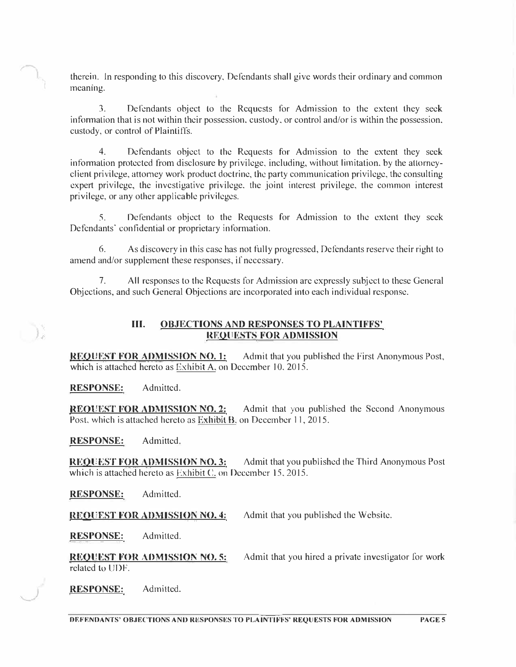therein. ln responding to this discovery, Defendants shall give words their ordinary and common meaning.

3. Defendants object lo the Requests for Admission to the extent they seek information that is not within their possession, custody, or control and/or is within the possession, custody, or control of Plaintiffs.

4. Defendants object to the Requests for Admission to the extent they seek information protected from disclosure by privilege, including, without limitation, by the atlorneyclienl privilege, attorney work product doctrine, the party communication privilege, the consulting expert privilege, the investigative privilege. the joint interest privilege, the common interest privilege, or any other applicable privileges.

5. Defendants object to the Requests for Admission to the extent they seek Defendants' confidential or proprietary information.

6. As discovery in this case has not fully progressed, Dcfondants reserve their right to amend and/or supplement these responses, if necessary.

7. All responses to the Requests for Admission arc expressly subject to these General Objections, and such General Objections arc incorporated into each individual response.

### **III. OBJECTIONS AND RESPONSES TO PLAINTIFFS' RF.OllESTS FOR ADMISSION**

**REQUEST FOR ADMISSION NO. 1:** Admit that you published the First Anonymous Post, which is attached hereto as Exhibit A, on December 10, 2015.

**RESPONSE:** Admitted.

**REOUEST FOR ADMISSION NO. 2:** Admit that you published the Second Anonymous Post, which is attached hereto as Exhibit B, on December 11, 2015.

**RESPONSE:** Admitted.

**REQUEST FOR ADMISSION NO. 3:** Admit that you published the Third Anonymous Post which is attached hereto as Exhibit C. on December 15, 2015.

**RESPONSE:** Admitted.

**REOUEST FOR ADMISSION NO. 4:** Admit that you published the Website.

**RESPONSE:** Admitted.

REQUEST FOR ADMISSION NO. 5: related to UDF. Admit that you hired a private investigator for work

**RESPONSE:** Admitted.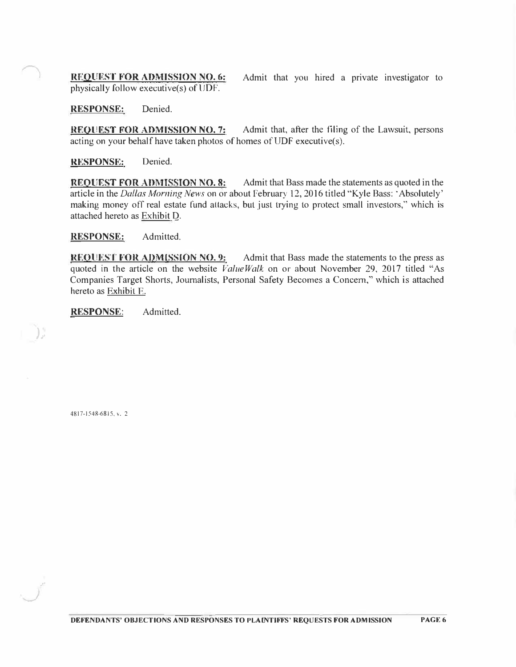**REQUEST FOR ADMISSION NO. 6:** physically follow executive(s) of UDF.

Admit that you hired a private investigator to

**RESPONSE:** Denied.

**REQUEST FOR ADMISSION NO. 7:** Admit that, after the filing of the Lawsuit, persons acting on your behalf have taken photos of homes of UDF executive(s).

**RESPONSE:** Denied.

**REQUEST FOR ADMISSION NO. 8:** Admit that Bass made the statements as quoted in the article in the *Dallas Morning News* on or about February 12, 2016 titled "Kyle Bass: 'Absolutely' making money off real estate fund attacks, but just trying to protect small investors," which is attached hereto as Exhibit Q.

**RESPONSE:** Admitted.

**REQUEST FOR ADMISSION NO. 9:** Admit that Bass made the statements to the press as quoted in the article on the website *ValueWalk* on or about November 29, 2017 titled "As Companies Target Shorts, Journalists, Personal Safety Becomes a Concern," which is attached hereto as Exhibit F.

**RESPONSE:** Admitted.

4817-1548-6815, v. 2

)*.t* 

*.!-'·*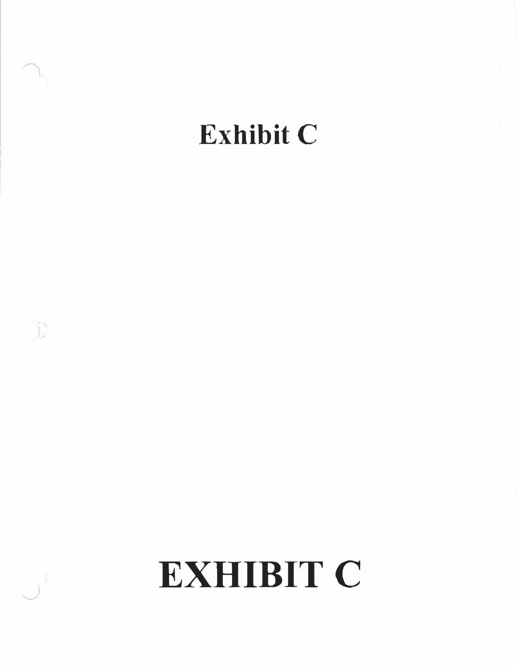## **Exhibit C**

 $\int_{\omega}^{\infty}$ 

# **EXHIBIT C**